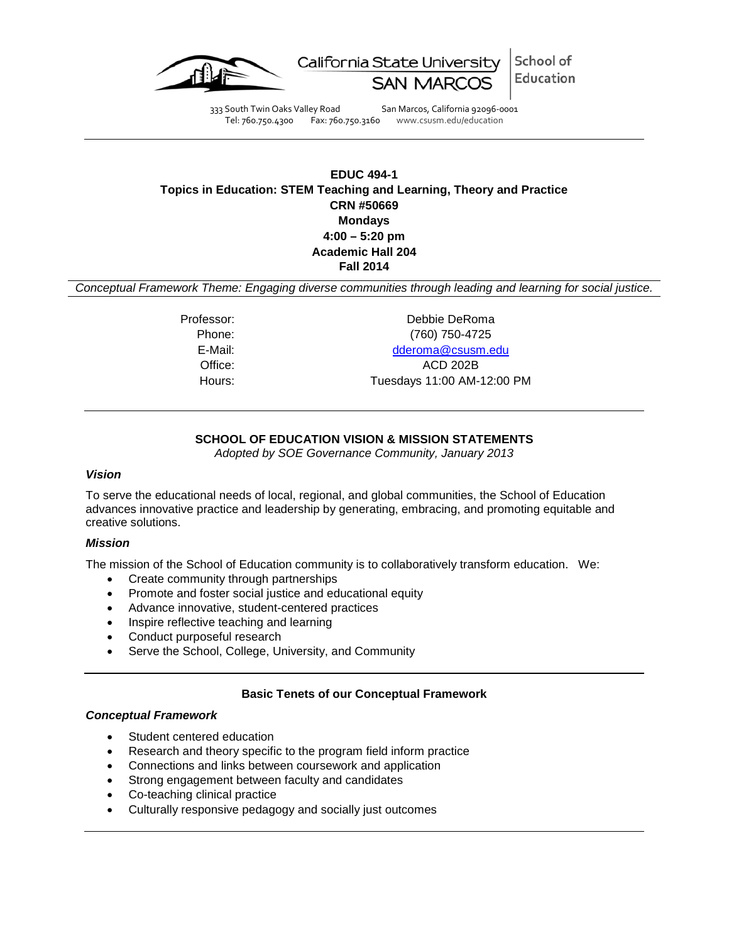

School of California State University Education **SAN MARC** 

333 South Twin Oaks Valley Road San Marcos, California 92096-0001 Tel: 760.750.4300 Fax: 760.750.3160 www.csusm.edu/education

# **EDUC 494-1 Topics in Education: STEM Teaching and Learning, Theory and Practice CRN #50669 Mondays 4:00 – 5:20 pm Academic Hall 204 Fall 2014**

*Conceptual Framework Theme: Engaging diverse communities through leading and learning for social justice.*

Professor: Debbie DeRoma Phone: (760) 750-4725 E-Mail: [dderoma@csusm.edu](mailto:dderoma@csusm.edu)

Office: ACD 202B

Hours: Tuesdays 11:00 AM-12:00 PM

# **SCHOOL OF EDUCATION VISION & MISSION STATEMENTS**

*Adopted by SOE Governance Community, January 2013*

### *Vision*

To serve the educational needs of local, regional, and global communities, the School of Education advances innovative practice and leadership by generating, embracing, and promoting equitable and creative solutions.

### *Mission*

The mission of the School of Education community is to collaboratively transform education. We:

- Create community through partnerships
- Promote and foster social justice and educational equity
- Advance innovative, student-centered practices
- Inspire reflective teaching and learning
- Conduct purposeful research
- Serve the School, College, University, and Community

### **Basic Tenets of our Conceptual Framework**

### *Conceptual Framework*

- Student centered education
- Research and theory specific to the program field inform practice
- Connections and links between coursework and application
- Strong engagement between faculty and candidates
- Co-teaching clinical practice
- Culturally responsive pedagogy and socially just outcomes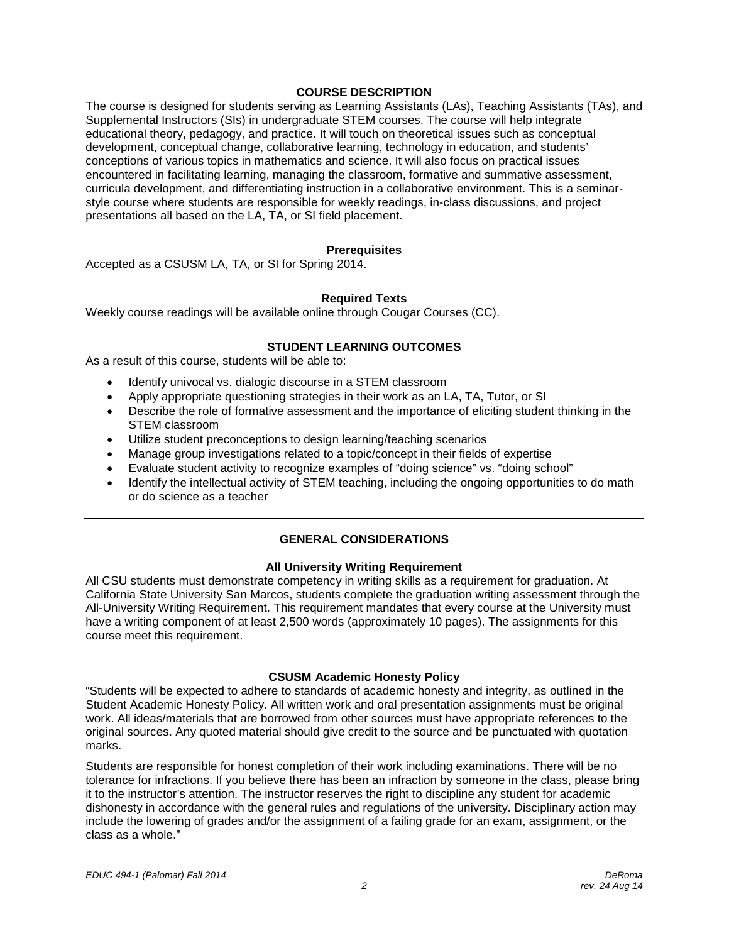#### **COURSE DESCRIPTION**

The course is designed for students serving as Learning Assistants (LAs), Teaching Assistants (TAs), and Supplemental Instructors (SIs) in undergraduate STEM courses. The course will help integrate educational theory, pedagogy, and practice. It will touch on theoretical issues such as conceptual development, conceptual change, collaborative learning, technology in education, and students' conceptions of various topics in mathematics and science. It will also focus on practical issues encountered in facilitating learning, managing the classroom, formative and summative assessment, curricula development, and differentiating instruction in a collaborative environment. This is a seminarstyle course where students are responsible for weekly readings, in-class discussions, and project presentations all based on the LA, TA, or SI field placement.

#### **Prerequisites**

Accepted as a CSUSM LA, TA, or SI for Spring 2014.

#### **Required Texts**

Weekly course readings will be available online through Cougar Courses (CC).

#### **STUDENT LEARNING OUTCOMES**

As a result of this course, students will be able to:

- Identify univocal vs. dialogic discourse in a STEM classroom
- Apply appropriate questioning strategies in their work as an LA, TA, Tutor, or SI
- Describe the role of formative assessment and the importance of eliciting student thinking in the STEM classroom
- Utilize student preconceptions to design learning/teaching scenarios
- Manage group investigations related to a topic/concept in their fields of expertise
- Evaluate student activity to recognize examples of "doing science" vs. "doing school"
- Identify the intellectual activity of STEM teaching, including the ongoing opportunities to do math or do science as a teacher

### **GENERAL CONSIDERATIONS**

#### **All University Writing Requirement**

All CSU students must demonstrate competency in writing skills as a requirement for graduation. At California State University San Marcos, students complete the graduation writing assessment through the All-University Writing Requirement. This requirement mandates that every course at the University must have a writing component of at least 2,500 words (approximately 10 pages). The assignments for this course meet this requirement.

#### **CSUSM Academic Honesty Policy**

"Students will be expected to adhere to standards of academic honesty and integrity, as outlined in the Student Academic Honesty Policy. All written work and oral presentation assignments must be original work. All ideas/materials that are borrowed from other sources must have appropriate references to the original sources. Any quoted material should give credit to the source and be punctuated with quotation marks.

Students are responsible for honest completion of their work including examinations. There will be no tolerance for infractions. If you believe there has been an infraction by someone in the class, please bring it to the instructor's attention. The instructor reserves the right to discipline any student for academic dishonesty in accordance with the general rules and regulations of the university. Disciplinary action may include the lowering of grades and/or the assignment of a failing grade for an exam, assignment, or the class as a whole."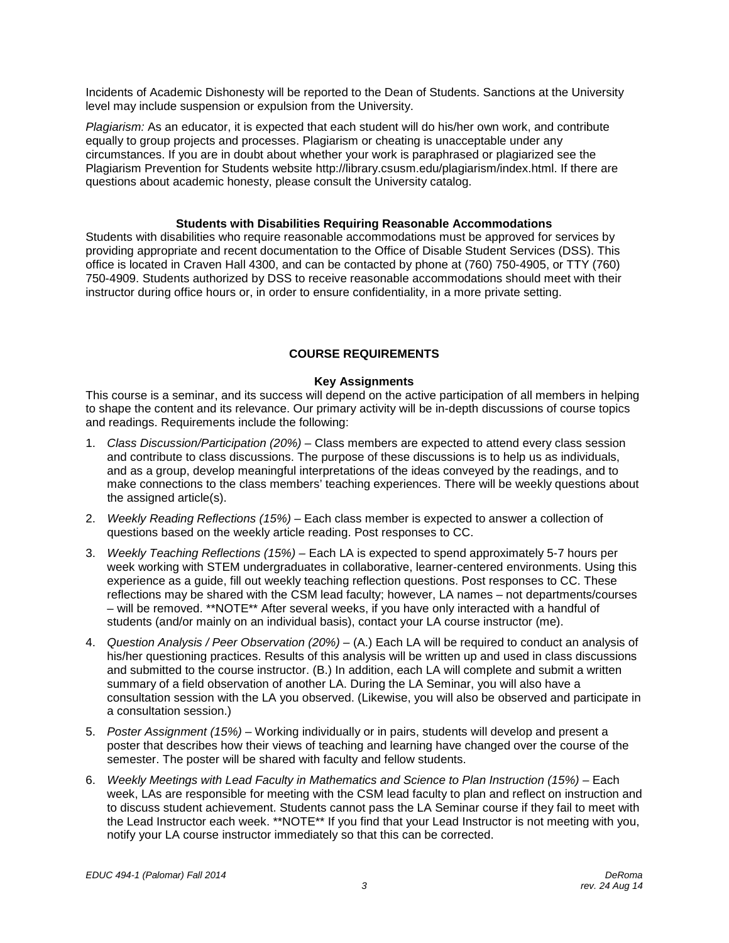Incidents of Academic Dishonesty will be reported to the Dean of Students. Sanctions at the University level may include suspension or expulsion from the University.

*Plagiarism:* As an educator, it is expected that each student will do his/her own work, and contribute equally to group projects and processes. Plagiarism or cheating is unacceptable under any circumstances. If you are in doubt about whether your work is paraphrased or plagiarized see the Plagiarism Prevention for Students website http://library.csusm.edu/plagiarism/index.html. If there are questions about academic honesty, please consult the University catalog.

#### **Students with Disabilities Requiring Reasonable Accommodations**

Students with disabilities who require reasonable accommodations must be approved for services by providing appropriate and recent documentation to the Office of Disable Student Services (DSS). This office is located in Craven Hall 4300, and can be contacted by phone at (760) 750-4905, or TTY (760) 750-4909. Students authorized by DSS to receive reasonable accommodations should meet with their instructor during office hours or, in order to ensure confidentiality, in a more private setting.

#### **COURSE REQUIREMENTS**

#### **Key Assignments**

This course is a seminar, and its success will depend on the active participation of all members in helping to shape the content and its relevance. Our primary activity will be in-depth discussions of course topics and readings. Requirements include the following:

- 1. *Class Discussion/Participation (20%) –* Class members are expected to attend every class session and contribute to class discussions. The purpose of these discussions is to help us as individuals, and as a group, develop meaningful interpretations of the ideas conveyed by the readings, and to make connections to the class members' teaching experiences. There will be weekly questions about the assigned article(s).
- 2. *Weekly Reading Reflections (15%) –* Each class member is expected to answer a collection of questions based on the weekly article reading. Post responses to CC.
- 3. *Weekly Teaching Reflections (15%) –* Each LA is expected to spend approximately 5-7 hours per week working with STEM undergraduates in collaborative, learner-centered environments. Using this experience as a guide, fill out weekly teaching reflection questions. Post responses to CC. These reflections may be shared with the CSM lead faculty; however, LA names – not departments/courses – will be removed. \*\*NOTE\*\* After several weeks, if you have only interacted with a handful of students (and/or mainly on an individual basis), contact your LA course instructor (me).
- 4. *Question Analysis / Peer Observation (20%) –* (A.) Each LA will be required to conduct an analysis of his/her questioning practices. Results of this analysis will be written up and used in class discussions and submitted to the course instructor. (B.) In addition, each LA will complete and submit a written summary of a field observation of another LA. During the LA Seminar, you will also have a consultation session with the LA you observed. (Likewise, you will also be observed and participate in a consultation session.)
- 5. *Poster Assignment (15%)* Working individually or in pairs, students will develop and present a poster that describes how their views of teaching and learning have changed over the course of the semester. The poster will be shared with faculty and fellow students.
- 6. *Weekly Meetings with Lead Faculty in Mathematics and Science to Plan Instruction (15%) –* Each week, LAs are responsible for meeting with the CSM lead faculty to plan and reflect on instruction and to discuss student achievement. Students cannot pass the LA Seminar course if they fail to meet with the Lead Instructor each week. \*\*NOTE\*\* If you find that your Lead Instructor is not meeting with you, notify your LA course instructor immediately so that this can be corrected.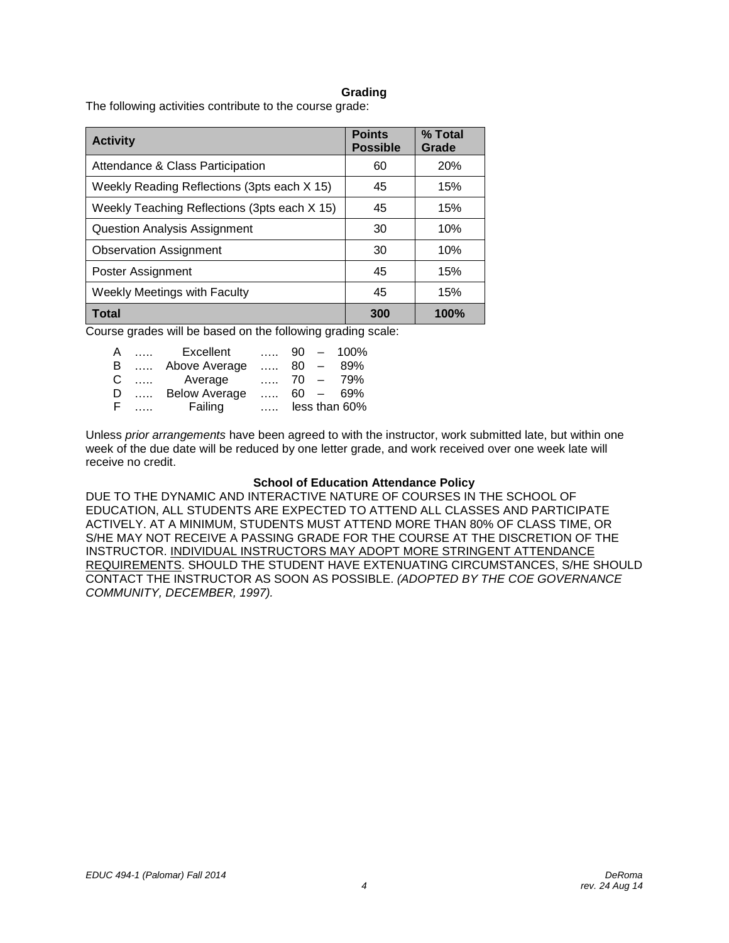#### **Grading**

The following activities contribute to the course grade:

| <b>Activity</b>                              | <b>Points</b><br><b>Possible</b> | % Total<br>Grade |
|----------------------------------------------|----------------------------------|------------------|
| Attendance & Class Participation             | 60                               | <b>20%</b>       |
| Weekly Reading Reflections (3pts each X 15)  | 45                               | 15%              |
| Weekly Teaching Reflections (3pts each X 15) | 45                               | 15%              |
| Question Analysis Assignment                 | 30                               | 10%              |
| <b>Observation Assignment</b>                | 30                               | 10%              |
| Poster Assignment                            | 45                               | 15%              |
| <b>Weekly Meetings with Faculty</b>          | 45                               | 15%              |
| <b>Total</b>                                 | 300                              | 100%             |

Course grades will be based on the following grading scale:

| A   |          | Excellent            |          |  | $\ldots$ 90 - 100% |
|-----|----------|----------------------|----------|--|--------------------|
| B.  | $\ldots$ | Above Average        | 80 $-$   |  | 89%                |
| C   |          | Average              |          |  | $\ldots$ 70 - 79%  |
| D   |          | <b>Below Average</b> |          |  | $\ldots$ 60 - 69%  |
| -F. |          | Failing              | $\ldots$ |  | less than 60%      |

Unless *prior arrangements* have been agreed to with the instructor, work submitted late, but within one week of the due date will be reduced by one letter grade, and work received over one week late will receive no credit.

#### **School of Education Attendance Policy**

DUE TO THE DYNAMIC AND INTERACTIVE NATURE OF COURSES IN THE SCHOOL OF EDUCATION, ALL STUDENTS ARE EXPECTED TO ATTEND ALL CLASSES AND PARTICIPATE ACTIVELY. AT A MINIMUM, STUDENTS MUST ATTEND MORE THAN 80% OF CLASS TIME, OR S/HE MAY NOT RECEIVE A PASSING GRADE FOR THE COURSE AT THE DISCRETION OF THE INSTRUCTOR. INDIVIDUAL INSTRUCTORS MAY ADOPT MORE STRINGENT ATTENDANCE REQUIREMENTS. SHOULD THE STUDENT HAVE EXTENUATING CIRCUMSTANCES, S/HE SHOULD CONTACT THE INSTRUCTOR AS SOON AS POSSIBLE. *(ADOPTED BY THE COE GOVERNANCE COMMUNITY, DECEMBER, 1997).*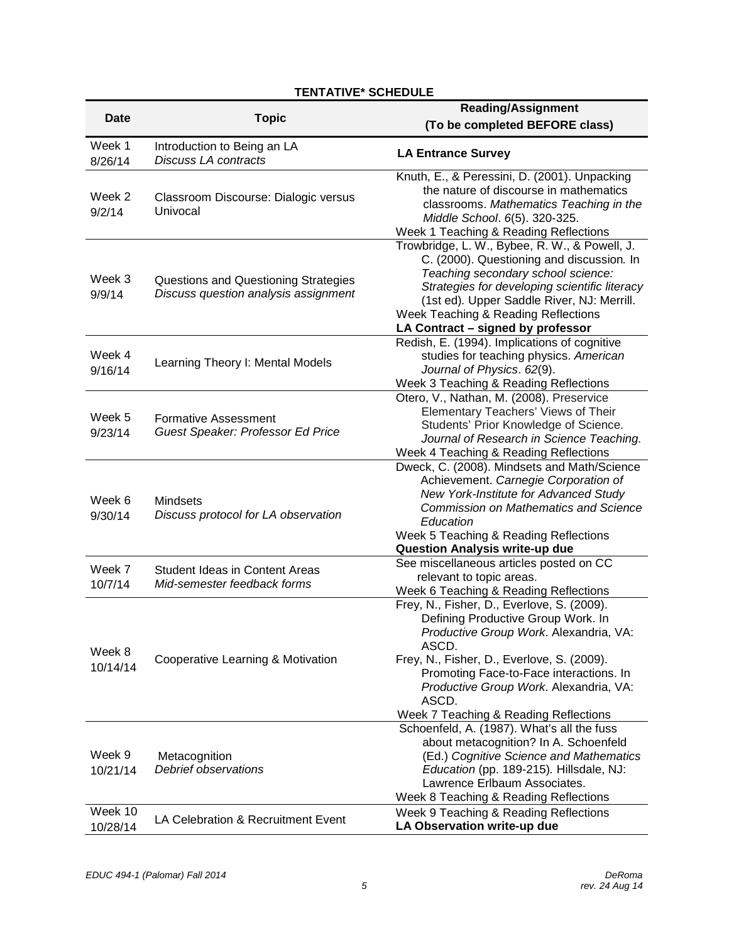# **TENTATIVE\* SCHEDULE**

| <b>Date</b>         | <b>Topic</b>                                                                 | <b>Reading/Assignment</b><br>(To be completed BEFORE class)                                                                                                                                                                                                                                                              |
|---------------------|------------------------------------------------------------------------------|--------------------------------------------------------------------------------------------------------------------------------------------------------------------------------------------------------------------------------------------------------------------------------------------------------------------------|
| Week 1<br>8/26/14   | Introduction to Being an LA<br><b>Discuss LA contracts</b>                   | <b>LA Entrance Survey</b>                                                                                                                                                                                                                                                                                                |
| Week 2<br>9/2/14    | Classroom Discourse: Dialogic versus<br>Univocal                             | Knuth, E., & Peressini, D. (2001). Unpacking<br>the nature of discourse in mathematics<br>classrooms. Mathematics Teaching in the<br>Middle School. 6(5). 320-325.<br>Week 1 Teaching & Reading Reflections                                                                                                              |
| Week 3<br>9/9/14    | Questions and Questioning Strategies<br>Discuss question analysis assignment | Trowbridge, L. W., Bybee, R. W., & Powell, J.<br>C. (2000). Questioning and discussion. In<br>Teaching secondary school science:<br>Strategies for developing scientific literacy<br>(1st ed). Upper Saddle River, NJ: Merrill.<br>Week Teaching & Reading Reflections<br>LA Contract - signed by professor              |
| Week 4<br>9/16/14   | Learning Theory I: Mental Models                                             | Redish, E. (1994). Implications of cognitive<br>studies for teaching physics. American<br>Journal of Physics. 62(9).<br>Week 3 Teaching & Reading Reflections                                                                                                                                                            |
| Week 5<br>9/23/14   | <b>Formative Assessment</b><br>Guest Speaker: Professor Ed Price             | Otero, V., Nathan, M. (2008). Preservice<br>Elementary Teachers' Views of Their<br>Students' Prior Knowledge of Science.<br>Journal of Research in Science Teaching.<br>Week 4 Teaching & Reading Reflections                                                                                                            |
| Week 6<br>9/30/14   | Mindsets<br>Discuss protocol for LA observation                              | Dweck, C. (2008). Mindsets and Math/Science<br>Achievement. Carnegie Corporation of<br>New York-Institute for Advanced Study<br><b>Commission on Mathematics and Science</b><br>Education<br>Week 5 Teaching & Reading Reflections<br>Question Analysis write-up due                                                     |
| Week 7<br>10/7/14   | <b>Student Ideas in Content Areas</b><br>Mid-semester feedback forms         | See miscellaneous articles posted on CC<br>relevant to topic areas.<br>Week 6 Teaching & Reading Reflections                                                                                                                                                                                                             |
| Week 8<br>10/14/14  | Cooperative Learning & Motivation                                            | Frey, N., Fisher, D., Everlove, S. (2009).<br>Defining Productive Group Work. In<br>Productive Group Work. Alexandria, VA:<br>ASCD.<br>Frey, N., Fisher, D., Everlove, S. (2009).<br>Promoting Face-to-Face interactions. In<br>Productive Group Work. Alexandria, VA:<br>ASCD.<br>Week 7 Teaching & Reading Reflections |
| Week 9<br>10/21/14  | Metacognition<br>Debrief observations                                        | Schoenfeld, A. (1987). What's all the fuss<br>about metacognition? In A. Schoenfeld<br>(Ed.) Cognitive Science and Mathematics<br>Education (pp. 189-215). Hillsdale, NJ:<br>Lawrence Erlbaum Associates.<br>Week 8 Teaching & Reading Reflections                                                                       |
| Week 10<br>10/28/14 | LA Celebration & Recruitment Event                                           | Week 9 Teaching & Reading Reflections<br>LA Observation write-up due                                                                                                                                                                                                                                                     |